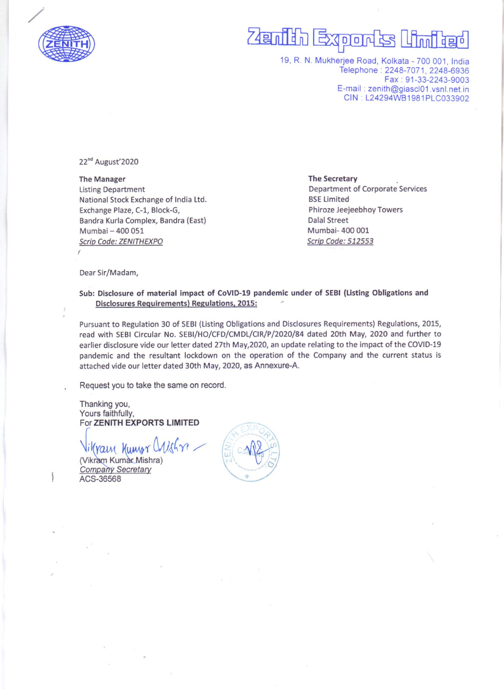

## Extern na n 词

19, R. N. Mukherjee Road, Kolkata - 700 001, India Telephone: 2248-7071, 2248-6936 Fax . 91-33-2243-9003 E-mail . zenith@giascl01 vsnl net in CIN L24294WB1981PLC033902

22<sup>nd</sup> August'2020

The Manager Listing Department National Stock Exchange of India Ltd. Exchange Plaze, C-1, Block-G, Sandra Kurla Complex, Sandra (East) Mumbai - 400 051 Scrip Code: ZENITHEXPO

The Secretary .

Department of Corporate Services **BSE Limited** Phiroze Jeejeebhoy Towers Dalal Street Mumbai- 400 001 Scrip Code: 512553

Dear Sir/Madam,

## Sub: Disclosure of material impact of CoVID-19 pandemic under of SEBI (Listing Obligations and Disclosures Requirements) Regulations, 2015:

Pursuant to Regulation <sup>30</sup> of SEBI (Listing Obligations and Disclosures Requirements) Regulations, 2015, read with SEBI Circular No. SEBI/HO/CFD/CMDL/CIR/P/2020/84dated 20th May, 2020 and further to earlier disclosure vide our letter dated 27th May,2020, an update relating to the impact of the COVID-19 pandemic and the resultant lockdown on the operation of the Company and the current status is attached vide our letter dated 30th May, 2020, as Annexure-A.

Request you to take the same on record.

Thanking you, Yours faithfully, For ZENITH EXPORTS LIMITED

For ZENTITE AFORTS EINTIED<br>Vikram Kumar Mishra)<br>Company Secretary

Company Secretary ACS-36568

.... t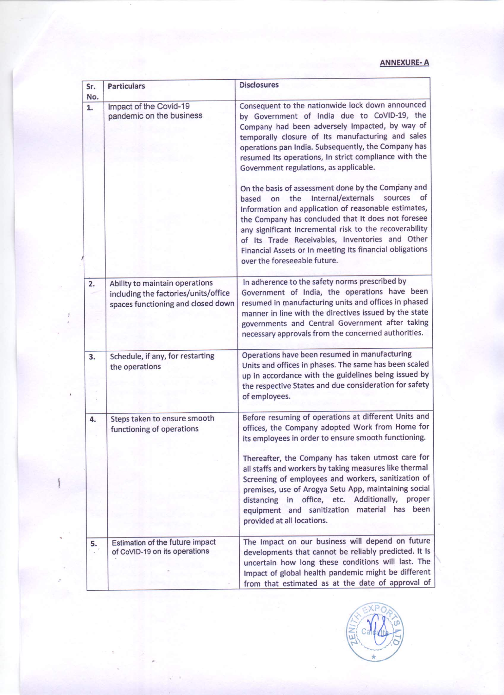## ANNEXURE-A

| Sr.<br>No. | <b>Particulars</b>                                                                                           | <b>Disclosures</b>                                                                                                                                                                                                                                                                                                                                                                                                                     |
|------------|--------------------------------------------------------------------------------------------------------------|----------------------------------------------------------------------------------------------------------------------------------------------------------------------------------------------------------------------------------------------------------------------------------------------------------------------------------------------------------------------------------------------------------------------------------------|
| 1.         | Impact of the Covid-19<br>pandemic on the business                                                           | Consequent to the nationwide lock down announced<br>by Government of India due to CoVID-19, the<br>Company had been adversely Impacted, by way of<br>temporally closure of Its manufacturing and sales<br>operations pan India. Subsequently, the Company has<br>resumed Its operations, In strict compliance with the<br>Government regulations, as applicable.                                                                       |
|            |                                                                                                              | On the basis of assessment done by the Company and<br>Internal/externals<br>sources<br>of<br>the<br>based<br>on<br>Information and application of reasonable estimates,<br>the Company has concluded that It does not foresee<br>any significant Incremental risk to the recoverability<br>of Its Trade Receivables, Inventories and Other<br>Financial Assets or In meeting Its financial obligations<br>over the foreseeable future. |
| 2.         | Ability to maintain operations<br>including the factories/units/office<br>spaces functioning and closed down | In adherence to the safety norms prescribed by<br>Government of India, the operations have been<br>resumed in manufacturing units and offices in phased<br>manner in line with the directives issued by the state<br>governments and Central Government after taking<br>necessary approvals from the concerned authorities.                                                                                                            |
| 3.         | Schedule, if any, for restarting<br>the operations                                                           | Operations have been resumed in manufacturing<br>Units and offices in phases. The same has been scaled<br>up in accordance with the guidelines being issued by<br>the respective States and due consideration for safety<br>of employees.                                                                                                                                                                                              |
| 4.         | Steps taken to ensure smooth<br>functioning of operations                                                    | Before resuming of operations at different Units and<br>offices, the Company adopted Work from Home for<br>its employees in order to ensure smooth functioning.                                                                                                                                                                                                                                                                        |
|            |                                                                                                              | Thereafter, the Company has taken utmost care for<br>all staffs and workers by taking measures like thermal<br>Screening of employees and workers, sanitization of<br>premises, use of Arogya Setu App, maintaining social<br>Additionally,<br>office, etc.<br>proper<br>distancing<br>in<br>equipment and sanitization material has<br>been<br>provided at all locations.                                                             |
| 5.         | Estimation of the future impact<br>of CoVID-19 on its operations                                             | The Impact on our business will depend on future<br>developments that cannot be reliably predicted. It Is<br>uncertain how long these conditions will last. The<br>Impact of global health pandemic might be different<br>from that estimated as at the date of approval of                                                                                                                                                            |